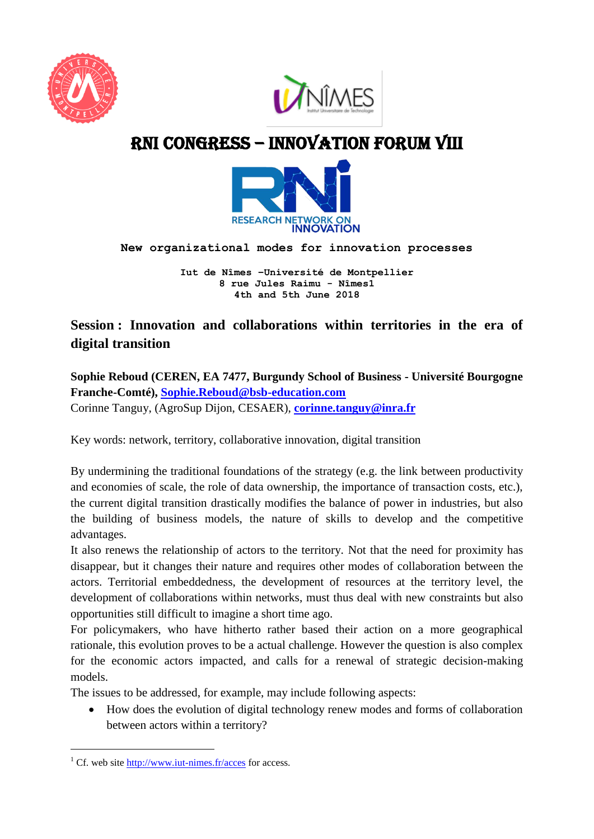



## RNI cONGRESS – innovation Forum VIII



**New organizational modes for innovation processes** 

**Iut de Nîmes –Université de Montpellier 8 rue Jules Raimu - Nîmes1 4th and 5th June 2018**

## **Session : Innovation and collaborations within territories in the era of digital transition**

**Sophie Reboud (CEREN, EA 7477, Burgundy School of Business - Université Bourgogne Franche-Comté), [Sophie.Reboud@bsb-education.com](mailto:Sophie.Reboud@bsb-education.com)** Corinne Tanguy, (AgroSup Dijon, CESAER), **[corinne.tanguy@inra.fr](mailto:corinne.tanguy@inra.fr)**

Key words: network, territory, collaborative innovation, digital transition

By undermining the traditional foundations of the strategy (e.g. the link between productivity and economies of scale, the role of data ownership, the importance of transaction costs, etc.), the current digital transition drastically modifies the balance of power in industries, but also the building of business models, the nature of skills to develop and the competitive advantages.

It also renews the relationship of actors to the territory. Not that the need for proximity has disappear, but it changes their nature and requires other modes of collaboration between the actors. Territorial embeddedness, the development of resources at the territory level, the development of collaborations within networks, must thus deal with new constraints but also opportunities still difficult to imagine a short time ago.

For policymakers, who have hitherto rather based their action on a more geographical rationale, this evolution proves to be a actual challenge. However the question is also complex for the economic actors impacted, and calls for a renewal of strategic decision-making models.

The issues to be addressed, for example, may include following aspects:

 How does the evolution of digital technology renew modes and forms of collaboration between actors within a territory?

1

<sup>&</sup>lt;sup>1</sup> Cf. web site  $\frac{http://www.iut-nimes.fr/access.}$